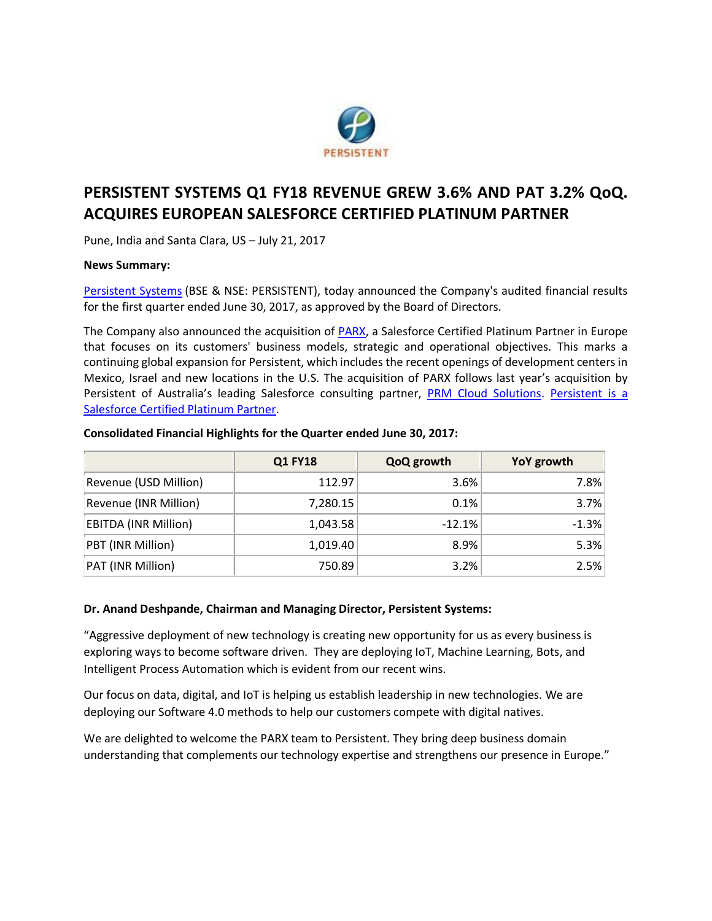

# **PERSISTENT SYSTEMS Q1 FY18 REVENUE GREW 3.6% AND PAT 3.2% QoQ. ACQUIRES EUROPEAN SALESFORCE CERTIFIED PLATINUM PARTNER**

Pune, India and Santa Clara, US – July 21, 2017

## **News Summary:**

[Persistent Systems](http://www.persistent.com/) (BSE & NSE: PERSISTENT), today announced the Company's audited financial results for the first quarter ended June 30, 2017, as approved by the Board of Directors.

The Company also announced the acquisition of **PARX**, a Salesforce Certified Platinum Partner in Europe that focuses on its customers' business models, strategic and operational objectives. This marks a continuing global expansion for Persistent, which includes the recent openings of development centers in Mexico, Israel and new locations in the U.S. The acquisition of PARX follows last year's acquisition by Persistent of Australia's leading Salesforce consulting partner, [PRM Cloud Solutions.](http://www.prmcloud.com/index.html) Persistent is a [Salesforce Certified Platinum Partner.](https://www.persistent.com/media/press-releases/new-hfs-report-attests-to-persistents-growing-momentum-in-salesforce-ecosystem/)

|                             | <b>Q1 FY18</b> | QoQ growth | YoY growth |
|-----------------------------|----------------|------------|------------|
| Revenue (USD Million)       | 112.97         | 3.6%       | 7.8%       |
| Revenue (INR Million)       | 7,280.15       | 0.1%       | 3.7%       |
| <b>EBITDA (INR Million)</b> | 1,043.58       | $-12.1%$   | $-1.3%$    |
| PBT (INR Million)           | 1,019.40       | 8.9%       | 5.3%       |
| PAT (INR Million)           | 750.89         | 3.2%       | 2.5%       |

#### **Consolidated Financial Highlights for the Quarter ended June 30, 2017:**

## **Dr. Anand Deshpande, Chairman and Managing Director, Persistent Systems:**

"Aggressive deployment of new technology is creating new opportunity for us as every business is exploring ways to become software driven. They are deploying IoT, Machine Learning, Bots, and Intelligent Process Automation which is evident from our recent wins.

Our focus on data, digital, and IoT is helping us establish leadership in new technologies. We are deploying our Software 4.0 methods to help our customers compete with digital natives.

We are delighted to welcome the PARX team to Persistent. They bring deep business domain understanding that complements our technology expertise and strengthens our presence in Europe."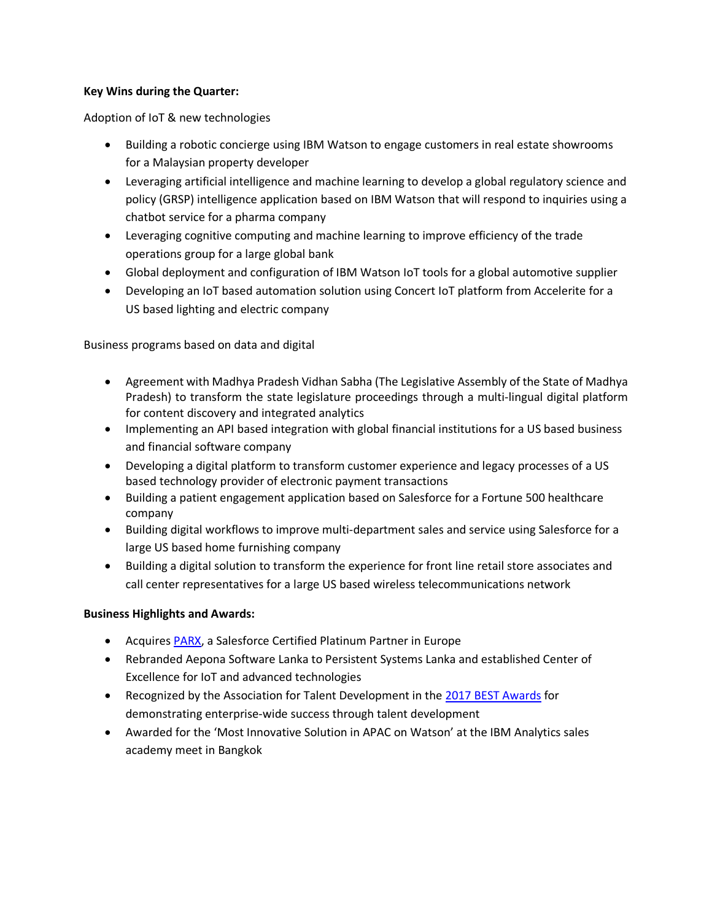## **Key Wins during the Quarter:**

Adoption of IoT & new technologies

- Building a robotic concierge using IBM Watson to engage customers in real estate showrooms for a Malaysian property developer
- Leveraging artificial intelligence and machine learning to develop a global regulatory science and policy (GRSP) intelligence application based on IBM Watson that will respond to inquiries using a chatbot service for a pharma company
- Leveraging cognitive computing and machine learning to improve efficiency of the trade operations group for a large global bank
- Global deployment and configuration of IBM Watson IoT tools for a global automotive supplier
- Developing an IoT based automation solution using Concert IoT platform from Accelerite for a US based lighting and electric company

Business programs based on data and digital

- Agreement with Madhya Pradesh Vidhan Sabha (The Legislative Assembly of the State of Madhya Pradesh) to transform the state legislature proceedings through a multi-lingual digital platform for content discovery and integrated analytics
- Implementing an API based integration with global financial institutions for a US based business and financial software company
- Developing a digital platform to transform customer experience and legacy processes of a US based technology provider of electronic payment transactions
- Building a patient engagement application based on Salesforce for a Fortune 500 healthcare company
- Building digital workflows to improve multi-department sales and service using Salesforce for a large US based home furnishing company
- Building a digital solution to transform the experience for front line retail store associates and call center representatives for a large US based wireless telecommunications network

# **Business Highlights and Awards:**

- Acquires [PARX,](http://www.parx.com/en-us) a Salesforce Certified Platinum Partner in Europe
- Rebranded Aepona Software Lanka to Persistent Systems Lanka and established Center of Excellence for IoT and advanced technologies
- Recognized by the Association for Talent Development in the [2017 BEST Awards](https://www.td.org/ATD-Best/Winners) for demonstrating enterprise-wide success through talent development
- Awarded for the 'Most Innovative Solution in APAC on Watson' at the IBM Analytics sales academy meet in Bangkok